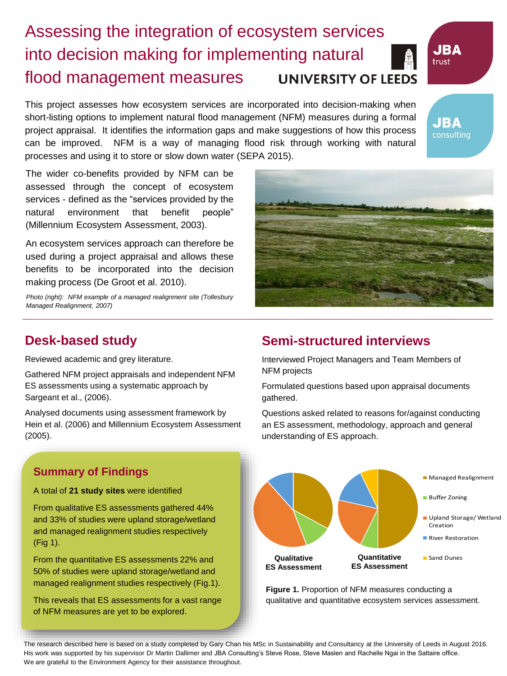# Assessing the integration of ecosystem services into decision making for implementing natural flood management measures **UNIVERSITY OF LEEDS**

This project assesses how ecosystem services are incorporated into decision-making when short-listing options to implement natural flood management (NFM) measures during a formal project appraisal. It identifies the information gaps and make suggestions of how this process can be improved. NFM is a way of managing flood risk through working with natural processes and using it to store or slow down water (SEPA 2015).

The wider co-benefits provided by NFM can be assessed through the concept of ecosystem services - defined as the "services provided by the natural environment that benefit people" (Millennium Ecosystem Assessment, 2003).

An ecosystem services approach can therefore be used during a project appraisal and allows these benefits to be incorporated into the decision making process (De Groot et al. 2010).



**JBA** trust

**JBA** consulting

*Photo (right): NFM example of a managed realignment site (Tollesbury Managed Realignment, 2007)*

# **Desk-based study**

Reviewed academic and grey literature.

Gathered NFM project appraisals and independent NFM ES assessments using a systematic approach by Sargeant et al., (2006).

Analysed documents using assessment framework by Hein et al. (2006) and Millennium Ecosystem Assessment (2005).

## **Summary of Findings**

### A total of **21 study sites** were identified

From qualitative ES assessments gathered 44% and 33% of studies were upland storage/wetland and managed realignment studies respectively (Fig 1).

From the quantitative ES assessments 22% and 50% of studies were upland storage/wetland and managed realignment studies respectively (Fig.1).

This reveals that ES assessments for a vast range of NFM measures are yet to be explored.

# **Semi-structured interviews**

Interviewed Project Managers and Team Members of NFM projects

Formulated questions based upon appraisal documents gathered.

Questions asked related to reasons for/against conducting an ES assessment, methodology, approach and general understanding of ES approach.



**Figure 1.** Proportion of NFM measures conducting a qualitative and quantitative ecosystem services assessment.

The research described here is based on a study completed by Gary Chan his MSc in Sustainability and Consultancy at the University of Leeds in August 2016. His work was supported by his supervisor Dr Martin Dallimer and JBA Consulting's Steve Rose, Steve Maslen and Rachelle Ngai in the Saltaire office. We are grateful to the Environment Agency for their assistance throughout.